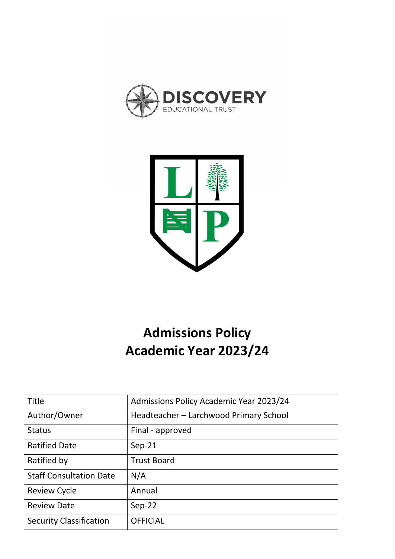



# **Admissions Policy Academic Year 2023/24**

| <b>Title</b>                   | <b>Admissions Policy Academic Year 2023/24</b> |
|--------------------------------|------------------------------------------------|
| Author/Owner                   | Headteacher - Larchwood Primary School         |
| <b>Status</b>                  | Final - approved                               |
| <b>Ratified Date</b>           | $Sep-21$                                       |
| Ratified by                    | <b>Trust Board</b>                             |
| <b>Staff Consultation Date</b> | N/A                                            |
| <b>Review Cycle</b>            | Annual                                         |
| <b>Review Date</b>             | $Sep-22$                                       |
| <b>Security Classification</b> | <b>OFFICIAL</b>                                |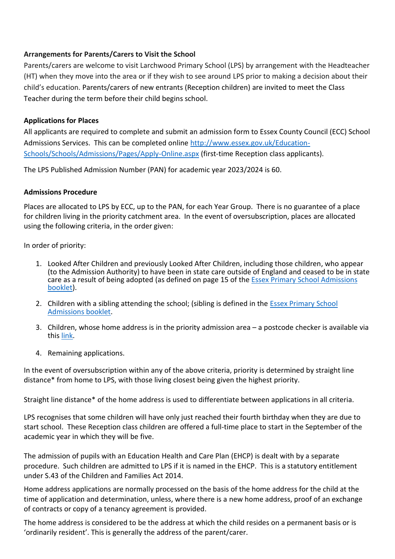# **Arrangements for Parents/Carers to Visit the School**

Parents/carers are welcome to visit Larchwood Primary School (LPS) by arrangement with the Headteacher (HT) when they move into the area or if they wish to see around LPS prior to making a decision about their child's education. Parents/carers of new entrants (Reception children) are invited to meet the Class Teacher during the term before their child begins school.

## **Applications for Places**

All applicants are required to complete and submit an admission form to Essex County Council (ECC) School Admissions Services. This can be completed online [http://www.essex.gov.uk/Education-](http://www.essex.gov.uk/Education-Schools/Schools/Admissions/Pages/Apply-Online.aspx)[Schools/Schools/Admissions/Pages/Apply-Online.aspx](http://www.essex.gov.uk/Education-Schools/Schools/Admissions/Pages/Apply-Online.aspx) (first-time Reception class applicants).

The LPS Published Admission Number (PAN) for academic year 2023/2024 is 60.

## **Admissions Procedure**

Places are allocated to LPS by ECC, up to the PAN, for each Year Group. There is no guarantee of a place for children living in the priority catchment area. In the event of oversubscription, places are allocated using the following criteria, in the order given:

In order of priority:

- 1. Looked After Children and previously Looked After Children, including those children, who appear (to the Admission Authority) to have been in state care outside of England and ceased to be in state care as a result of being adopted (as defined on page 15 of the [Essex Primary School Admissions](https://www.essex.gov.uk/apply-for-a-primary-school-place) [booklet\)](https://www.essex.gov.uk/apply-for-a-primary-school-place).
- 2. Children with a sibling attending the school; (sibling is defined in the [Essex Primary School](https://www.essex.gov.uk/apply-for-a-primary-school-place)  [Admissions booklet.](https://www.essex.gov.uk/apply-for-a-primary-school-place)
- 3. Children, whose home address is in the priority admission area a postcode checker is available via this [link.](https://secureweb1.essex.gov.uk/CAS/Priority-Admissions-(Catchment)-Area.aspx)
- 4. Remaining applications.

In the event of oversubscription within any of the above criteria, priority is determined by straight line distance\* from home to LPS, with those living closest being given the highest priority.

Straight line distance\* of the home address is used to differentiate between applications in all criteria.

LPS recognises that some children will have only just reached their fourth birthday when they are due to start school. These Reception class children are offered a full-time place to start in the September of the academic year in which they will be five.

The admission of pupils with an Education Health and Care Plan (EHCP) is dealt with by a separate procedure. Such children are admitted to LPS if it is named in the EHCP. This is a statutory entitlement under S.43 of the Children and Families Act 2014.

Home address applications are normally processed on the basis of the home address for the child at the time of application and determination, unless, where there is a new home address, proof of an exchange of contracts or copy of a tenancy agreement is provided.

The home address is considered to be the address at which the child resides on a permanent basis or is 'ordinarily resident'. This is generally the address of the parent/carer.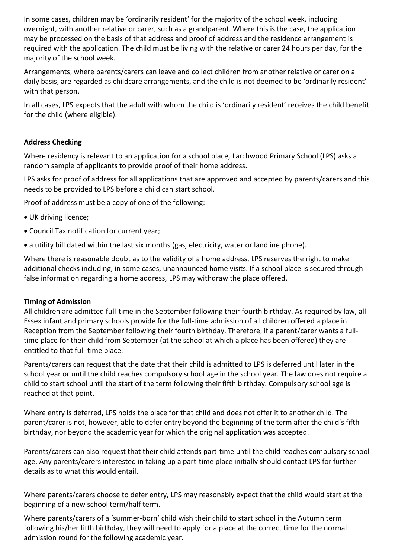In some cases, children may be 'ordinarily resident' for the majority of the school week, including overnight, with another relative or carer, such as a grandparent. Where this is the case, the application may be processed on the basis of that address and proof of address and the residence arrangement is required with the application. The child must be living with the relative or carer 24 hours per day, for the majority of the school week.

Arrangements, where parents/carers can leave and collect children from another relative or carer on a daily basis, are regarded as childcare arrangements, and the child is not deemed to be 'ordinarily resident' with that person.

In all cases, LPS expects that the adult with whom the child is 'ordinarily resident' receives the child benefit for the child (where eligible).

# **Address Checking**

Where residency is relevant to an application for a school place, Larchwood Primary School (LPS) asks a random sample of applicants to provide proof of their home address.

LPS asks for proof of address for all applications that are approved and accepted by parents/carers and this needs to be provided to LPS before a child can start school.

Proof of address must be a copy of one of the following:

- UK driving licence;
- Council Tax notification for current year;
- a utility bill dated within the last six months (gas, electricity, water or landline phone).

Where there is reasonable doubt as to the validity of a home address, LPS reserves the right to make additional checks including, in some cases, unannounced home visits. If a school place is secured through false information regarding a home address, LPS may withdraw the place offered.

#### **Timing of Admission**

All children are admitted full-time in the September following their fourth birthday. As required by law, all Essex infant and primary schools provide for the full-time admission of all children offered a place in Reception from the September following their fourth birthday. Therefore, if a parent/carer wants a fulltime place for their child from September (at the school at which a place has been offered) they are entitled to that full-time place.

Parents/carers can request that the date that their child is admitted to LPS is deferred until later in the school year or until the child reaches compulsory school age in the school year. The law does not require a child to start school until the start of the term following their fifth birthday. Compulsory school age is reached at that point.

Where entry is deferred, LPS holds the place for that child and does not offer it to another child. The parent/carer is not, however, able to defer entry beyond the beginning of the term after the child's fifth birthday, nor beyond the academic year for which the original application was accepted.

Parents/carers can also request that their child attends part-time until the child reaches compulsory school age. Any parents/carers interested in taking up a part-time place initially should contact LPS for further details as to what this would entail.

Where parents/carers choose to defer entry, LPS may reasonably expect that the child would start at the beginning of a new school term/half term.

Where parents/carers of a 'summer-born' child wish their child to start school in the Autumn term following his/her fifth birthday, they will need to apply for a place at the correct time for the normal admission round for the following academic year.